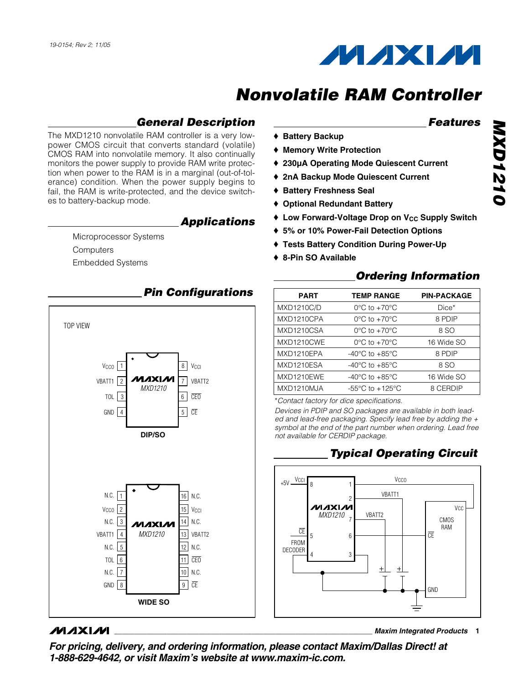

### **General Description**

The MXD1210 nonvolatile RAM controller is a very lowpower CMOS circuit that converts standard (volatile) CMOS RAM into nonvolatile memory. It also continually monitors the power supply to provide RAM write protection when power to the RAM is in a marginal (out-of-tolerance) condition. When the power supply begins to fail, the RAM is write-protected, and the device switches to battery-backup mode.

#### **Applications**

Microprocessor Systems **Computers** Embedded Systems



### **MAXIM**

**Features**

- ♦ **Battery Backup**
- ♦ **Memory Write Protection**
- ♦ **230µA Operating Mode Quiescent Current**
- ♦ **2nA Backup Mode Quiescent Current**
- ♦ **Battery Freshness Seal**
- ♦ **Optional Redundant Battery**
- ◆ Low Forward-Voltage Drop on V<sub>CC</sub> Supply Switch
- ♦ **5% or 10% Power-Fail Detection Options**
- ♦ **Tests Battery Condition During Power-Up**
- ♦ **8-Pin SO Available**

#### **Ordering Information**

| <b>PART</b>       | <b>TEMP RANGE</b>                   | <b>PIN-PACKAGE</b> |
|-------------------|-------------------------------------|--------------------|
| <b>MXD1210C/D</b> | $0^{\circ}$ C to +70 $^{\circ}$ C   | Dice*              |
| MXD1210CPA        | $0^{\circ}$ C to $+70^{\circ}$ C    | 8 PDIP             |
| MXD1210CSA        | $0^{\circ}$ C to $+70^{\circ}$ C    | 8 SO               |
| MXD1210CWE        | $0^{\circ}$ C to $+70^{\circ}$ C    | 16 Wide SO         |
| MXD1210EPA        | $-40^{\circ}$ C to $+85^{\circ}$ C  | 8 PDIP             |
| MXD1210ESA        | $-40^{\circ}$ C to $+85^{\circ}$ C  | 8 SO               |
| MXD1210EWE        | $-40^{\circ}$ C to $+85^{\circ}$ C  | 16 Wide SO         |
| MXD1210MJA        | $-55^{\circ}$ C to $+125^{\circ}$ C | 8 CERDIP           |
|                   |                                     |                    |

\*Contact factory for dice specifications.

Devices in PDIP and SO packages are available in both leaded and lead-free packaging. Specify lead free by adding the  $+$ symbol at the end of the part number when ordering. Lead free not available for CERDIP package.

### **Typical Operating Circuit**



**\_\_\_\_\_\_\_\_\_\_\_\_\_\_\_\_\_\_\_\_\_\_\_\_\_\_\_\_\_\_\_\_\_\_\_\_\_\_\_\_\_\_\_\_\_\_\_\_\_\_\_\_\_\_\_\_\_\_\_\_\_\_\_\_ Maxim Integrated Products 1**

**For pricing, delivery, and ordering information, please contact Maxim/Dallas Direct! at 1-888-629-4642, or visit Maxim's website at www.maxim-ic.com.**

### **Pin Configurations**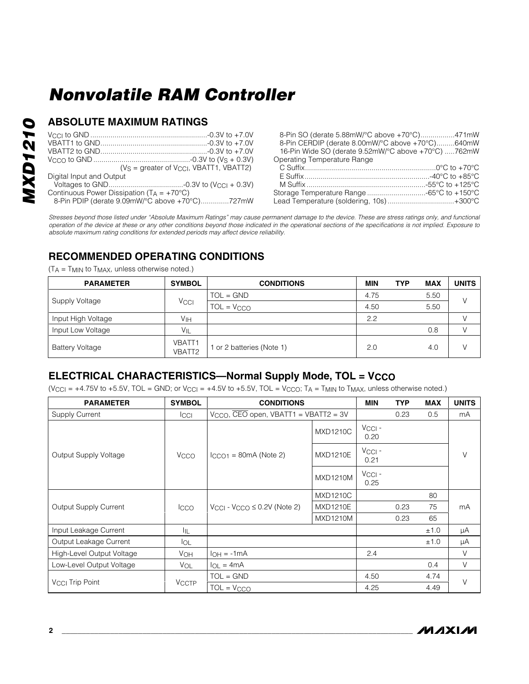# **MXD1210 MXD1210**

#### **ABSOLUTE MAXIMUM RATINGS**

|                                                      | $(VS =$ greater of $VCC$ , VBATT1, VBATT2) |
|------------------------------------------------------|--------------------------------------------|
| Digital Input and Output                             |                                            |
|                                                      |                                            |
| Continuous Power Dissipation ( $TA = +70^{\circ}C$ ) |                                            |

8-Pin PDIP (derate 9.09mW/°C above +70°C)..............727mW

8-Pin SO (derate 5.88mW/°C above +70°C).................471mW 8-Pin CERDIP (derate 8.00mW/°C above +70°C).........640mW 16-Pin Wide SO (derate 9.52mW/°C above +70°C) .....762mW **Operating Temperature Range<br>C.Suffix**  $C^{\circ}C$  to  $+70^{\circ}C$ 

| ∪ OUIIIX………………………………………………………∪ ∪ l0 +70 ∪ |  |
|-------------------------------------------|--|
|                                           |  |
|                                           |  |
|                                           |  |
| Lead Temperature (soldering, 10s)+300°C   |  |

Stresses beyond those listed under "Absolute Maximum Ratings" may cause permanent damage to the device. These are stress ratings only, and functional operation of the device at these or any other conditions beyond those indicated in the operational sections of the specifications is not implied. Exposure to absolute maximum rating conditions for extended periods may affect device reliability.

### **RECOMMENDED OPERATING CONDITIONS**

 $(T_A = T_{MIN}$  to  $T_{MAX}$ , unless otherwise noted.)

| <b>PARAMETER</b>       | <b>SYMBOL</b>     | <b>CONDITIONS</b>       | <b>MIN</b> | <b>TYP</b> | <b>MAX</b> | <b>UNITS</b> |
|------------------------|-------------------|-------------------------|------------|------------|------------|--------------|
|                        |                   | $TOL = GND$             | 4.75       |            | 5.50       | $\sqrt{}$    |
| Supply Voltage         | Vccl              | $TOL = VCCO$            | 4.50       |            | 5.50       |              |
| Input High Voltage     | Vıн               |                         | 2.2        |            |            |              |
| Input Low Voltage      | $V_{\mathsf{IL}}$ |                         |            |            | 0.8        |              |
| <b>Battery Voltage</b> | VBATT1<br>VBATT2  | or 2 batteries (Note 1) | 2.0        |            | 4.0        |              |

### **ELECTRICAL CHARACTERISTICS—Normal Supply Mode, TOL = VCCO**

(V<sub>CCI</sub> = +4.75V to +5.5V, TOL = GND; or V<sub>CCI</sub> = +4.5V to +5.5V, TOL = V<sub>CCO</sub>; T<sub>A</sub> = T<sub>MIN</sub> to T<sub>MAX</sub>, unless otherwise noted.)

| <b>PARAMETER</b>            | <b>SYMBOL</b>         | <b>CONDITIONS</b>                                  |                 | <b>MIN</b>              | <b>TYP</b> | <b>MAX</b> | <b>UNITS</b> |
|-----------------------------|-----------------------|----------------------------------------------------|-----------------|-------------------------|------------|------------|--------------|
| Supply Current              | <b>ICCI</b>           | $V_{CCO}$ , CEO open, VBATT1 = VBATT2 = 3V         |                 |                         | 0.23       | 0.5        | mA           |
|                             |                       |                                                    | <b>MXD1210C</b> | Vcci -<br>0.20          |            |            |              |
| Output Supply Voltage       | Vcco                  | $ICCO1 = 80mA (Note 2)$                            | <b>MXD1210E</b> | $V_{\rm CCl}$ -<br>0.21 |            |            | V            |
|                             |                       |                                                    | <b>MXD1210M</b> | $V_{\rm CCl}$ -<br>0.25 |            |            |              |
|                             |                       |                                                    | <b>MXD1210C</b> |                         |            | 80         |              |
| Output Supply Current       | Icco                  | $V_{\rm{CCI}}$ - $V_{\rm{CCO}} \leq 0.2V$ (Note 2) | <b>MXD1210E</b> |                         | 0.23       | 75         | mA           |
|                             |                       |                                                    | <b>MXD1210M</b> |                         | 0.23       | 65         |              |
| Input Leakage Current       | ÌјL                   |                                                    |                 |                         |            | ±1.0       | μA           |
| Output Leakage Current      | <b>I</b> OL           |                                                    |                 |                         |            | ±1.0       | μA           |
| High-Level Output Voltage   | <b>V<sub>OH</sub></b> | $I_{OH} = -1mA$                                    |                 | 2.4                     |            |            | V            |
| Low-Level Output Voltage    | <b>VOL</b>            | $I_{OL} = 4mA$                                     |                 |                         |            | 0.4        | V            |
|                             |                       | $TOL = GND$                                        |                 | 4.50                    |            | 4.74       |              |
| V <sub>CCI</sub> Trip Point | <b>VCCTP</b>          | $TOL = VCCO$                                       |                 | 4.25                    |            | 4.49       | $\vee$       |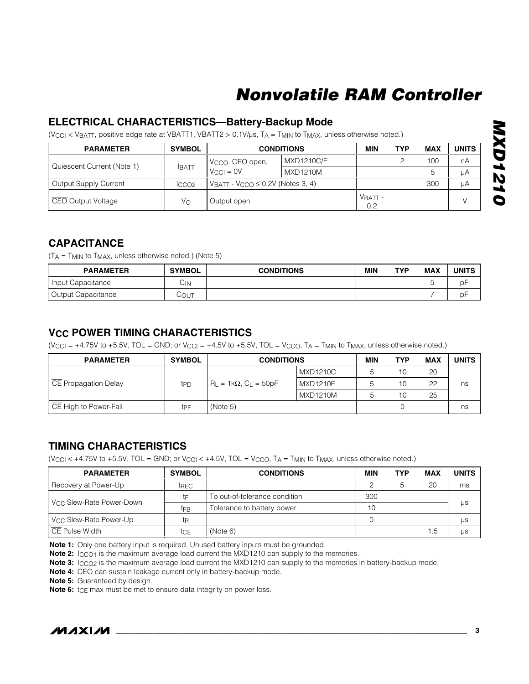### **ELECTRICAL CHARACTERISTICS—Battery-Backup Mode**

(V<sub>CCI</sub> < V<sub>BATT</sub>, positive edge rate at VBATT1, VBATT2 > 0.1V/µs, T<sub>A</sub> = T<sub>MIN</sub> to T<sub>MAX</sub>, unless otherwise noted.)

| <b>PARAMETER</b>           | <b>SYMBOL</b>     | <b>CONDITIONS</b>                           |                   | MIN              | <b>TYP</b> | <b>MAX</b> | <b>UNITS</b> |
|----------------------------|-------------------|---------------------------------------------|-------------------|------------------|------------|------------|--------------|
|                            |                   | I V <sub>CCO</sub> , CEO open,              | <b>MXD1210C/E</b> |                  |            | 100        | nA           |
| Quiescent Current (Note 1) | <b>IBATT</b>      | $V_{\text{CCl}} = 0V$                       | <b>MXD1210M</b>   |                  |            | 5.         | μA           |
| Output Supply Current      | ICCO <sub>2</sub> | $V$ BATT - $V$ CCO $\leq$ 0.2V (Notes 3, 4) |                   |                  |            | 300        | μA           |
| GEO Output Voltage         | Vo                | Output open                                 |                   | $VBATT$ -<br>0.2 |            |            |              |

#### **CAPACITANCE**

 $(T_A = T_{MIN}$  to  $T_{MAX}$ , unless otherwise noted.) (Note 5)

| <b>PARAMETER</b>          | <b>SYMBOL</b> | <b>CONDITIONS</b> | <b>MIN</b> | TYP | <b>MAX</b> | UNITS |
|---------------------------|---------------|-------------------|------------|-----|------------|-------|
| Input Capacitance         | UΝ            |                   |            |     |            | nF    |
| <b>Output Capacitance</b> | COUT          |                   |            |     |            | рF    |

### **VCC POWER TIMING CHARACTERISTICS**

(V<sub>CCI</sub> = +4.75V to +5.5V, TOL = GND; or V<sub>CCI</sub> = +4.5V to +5.5V, TOL = V<sub>CCO</sub>, T<sub>A</sub> = T<sub>MIN</sub> to T<sub>MAX</sub>, unless otherwise noted.)

| <b>PARAMETER</b>      | <b>SYMBOL</b> | <b>CONDITIONS</b>                   |                 | MIN | TYP | <b>MAX</b> | <b>UNITS</b> |
|-----------------------|---------------|-------------------------------------|-----------------|-----|-----|------------|--------------|
|                       |               |                                     | <b>MXD1210C</b> |     | 10  | 20         |              |
| CE Propagation Delay  | tpp           | $R_{L} = 1k\Omega$ , $C_{L} = 50pF$ | <b>MXD1210E</b> |     | 10  | 22         | ns           |
|                       |               |                                     | MXD1210M        |     | 10  | 25         |              |
| CE High to Power-Fail | tpF           | (Note 5)                            |                 |     |     |            | ns           |

#### **TIMING CHARACTERISTICS**

(VCCI < +4.75V to +5.5V, TOL = GND; or VCCI < +4.5V, TOL = VCCO, TA = TMIN to TMAX, unless otherwise noted.)

| <b>PARAMETER</b>                     | <b>SYMBOL</b> | <b>CONDITIONS</b>             | MIN | TYP | MAX | <b>UNITS</b> |
|--------------------------------------|---------------|-------------------------------|-----|-----|-----|--------------|
| Recovery at Power-Up                 | trec          |                               |     |     | 20  | ms           |
|                                      | t⊧            | To out-of-tolerance condition | 300 |     |     |              |
| V <sub>CC</sub> Slew-Rate Power-Down | tFB           | Tolerance to battery power    | 10  |     |     | μs           |
| V <sub>CC</sub> Slew-Rate Power-Up   | tη            |                               |     |     |     | μs           |
| CE Pulse Width                       | tcE           | (Note 6)                      |     |     | 1.5 | μs           |

**Note 1:** Only one battery input is required. Unused battery inputs must be grounded.

**Note 2:** Icco<sub>1</sub> is the maximum average load current the MXD1210 can supply to the memories.

**Note 3:** I<sub>CCO2</sub> is the maximum average load current the MXD1210 can supply to the memories in battery-backup mode.

**Note 4:** CEO can sustain leakage current only in battery-backup mode.

**Note 5:** Guaranteed by design.

**Note 6:** tce max must be met to ensure data integrity on power loss.



**MXD1210**

**MXD1210**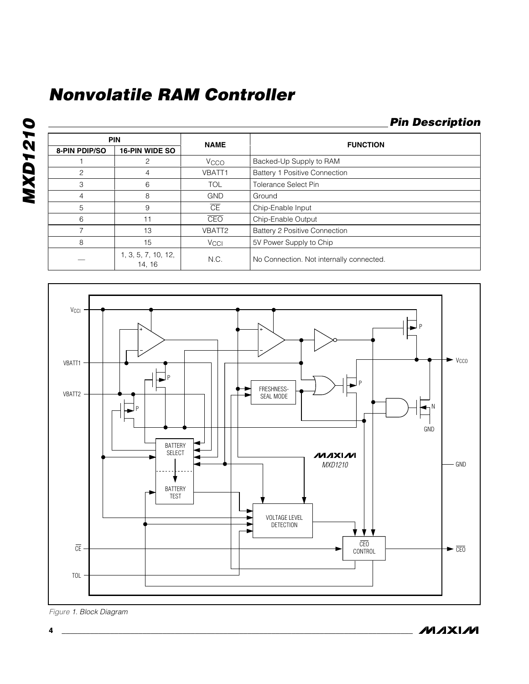### **Pin Description**

|                      | <b>PIN</b>                    |                        | <b>FUNCTION</b>                          |  |
|----------------------|-------------------------------|------------------------|------------------------------------------|--|
| <b>8-PIN PDIP/SO</b> | <b>16-PIN WIDE SO</b>         | <b>NAME</b>            |                                          |  |
|                      | 2                             | Vcco                   | Backed-Up Supply to RAM                  |  |
| 2                    | 4                             | VBATT1                 | Battery 1 Positive Connection            |  |
| 3                    | 6                             | <b>TOL</b>             | <b>Tolerance Select Pin</b>              |  |
| 4                    | 8                             | <b>GND</b>             | Ground                                   |  |
| 5                    | 9                             | $\overline{\text{CE}}$ | Chip-Enable Input                        |  |
| 6                    | 11                            | <b>CEO</b>             | Chip-Enable Output                       |  |
|                      | 13                            | VBATT2                 | Battery 2 Positive Connection            |  |
| 8                    | 15                            | <b>V<sub>CCI</sub></b> | 5V Power Supply to Chip                  |  |
|                      | 1, 3, 5, 7, 10, 12,<br>14, 16 | N.C.                   | No Connection. Not internally connected. |  |



Figure 1. Block Diagram

**MAXIM**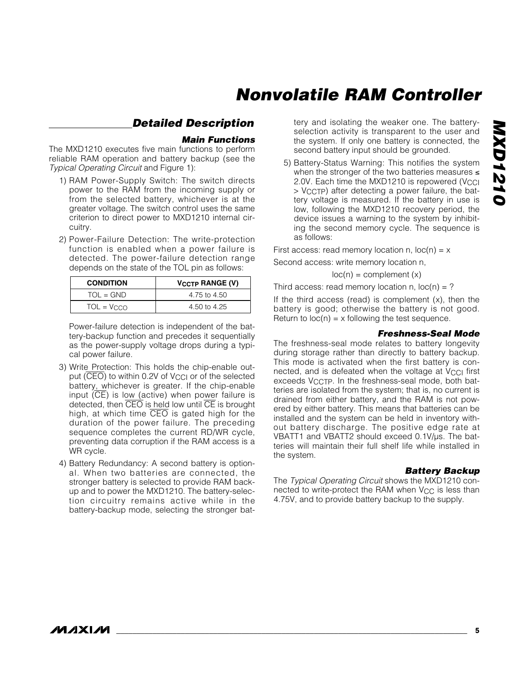### **Detailed Description**

#### **Main Functions**

The MXD1210 executes five main functions to perform reliable RAM operation and battery backup (see the Typical Operating Circuit and Figure 1):

- 1) RAM Power-Supply Switch: The switch directs power to the RAM from the incoming supply or from the selected battery, whichever is at the greater voltage. The switch control uses the same criterion to direct power to MXD1210 internal circuitry.
- 2) Power-Failure Detection: The write-protection function is enabled when a power failure is detected. The power-failure detection range depends on the state of the TOL pin as follows:

| <b>CONDITION</b> | <b>VCCTP RANGE (V)</b> |
|------------------|------------------------|
| $TOL = GND$      | 4.75 to 4.50           |
| $TOL = V_{CCO}$  | 4.50 to 4.25           |

Power-failure detection is independent of the battery-backup function and precedes it sequentially as the power-supply voltage drops during a typical power failure.

- 3) Write Protection: This holds the chip-enable output  $(\overline{CEO})$  to within 0.2V of  $V_{CC}$  or of the selected battery, whichever is greater. If the chip-enable input  $(\overline{CE})$  is low (active) when power failure is detected, then CEO is held low until CE is brought high, at which time CEO is gated high for the duration of the power failure. The preceding sequence completes the current RD/WR cycle, preventing data corruption if the RAM access is a WR cycle.
- 4) Battery Redundancy: A second battery is optional. When two batteries are connected, the stronger battery is selected to provide RAM backup and to power the MXD1210. The battery-selection circuitry remains active while in the battery-backup mode, selecting the stronger bat-

tery and isolating the weaker one. The batteryselection activity is transparent to the user and the system. If only one battery is connected, the second battery input should be grounded.

5) Battery-Status Warning: This notifies the system when the stronger of the two batteries measures ≤ 2.0V. Each time the MXD1210 is repowered (V<sub>CCI</sub> > VCCTP) after detecting a power failure, the battery voltage is measured. If the battery in use is low, following the MXD1210 recovery period, the device issues a warning to the system by inhibiting the second memory cycle. The sequence is as follows:

First access: read memory location n,  $loc(n) = x$ 

Second access: write memory location n,

$$
loc(n) = complement(x)
$$

Third access: read memory location n,  $loc(n) = ?$ 

If the third access (read) is complement  $(x)$ , then the battery is good; otherwise the battery is not good. Return to  $loc(n) = x$  following the test sequence.

#### **Freshness-Seal Mode**

The freshness-seal mode relates to battery longevity during storage rather than directly to battery backup. This mode is activated when the first battery is connected, and is defeated when the voltage at  $V_{\text{CC}}$  first exceeds  $V_{CCTP}$ . In the freshness-seal mode, both batteries are isolated from the system; that is, no current is drained from either battery, and the RAM is not powered by either battery. This means that batteries can be installed and the system can be held in inventory without battery discharge. The positive edge rate at VBATT1 and VBATT2 should exceed 0.1V/us. The batteries will maintain their full shelf life while installed in the system.

#### **Battery Backup**

The Typical Operating Circuit shows the MXD1210 connected to write-protect the RAM when  $V_{CC}$  is less than 4.75V, and to provide battery backup to the supply.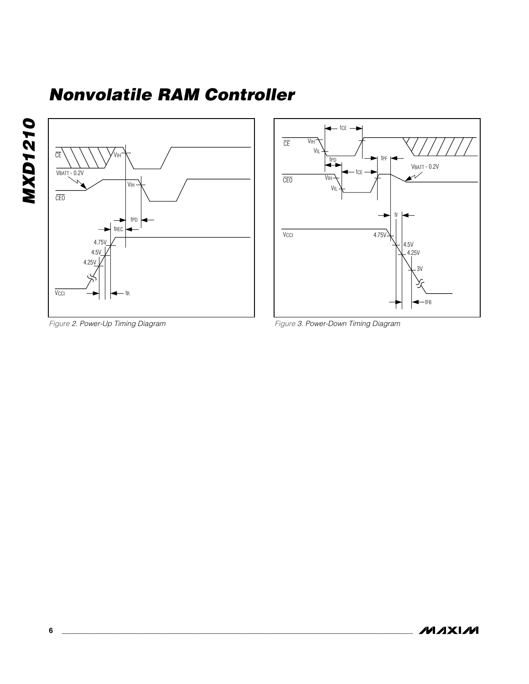





Figure 3. Power-Down Timing Diagram

Figure 2. Power-Up Timing Diagram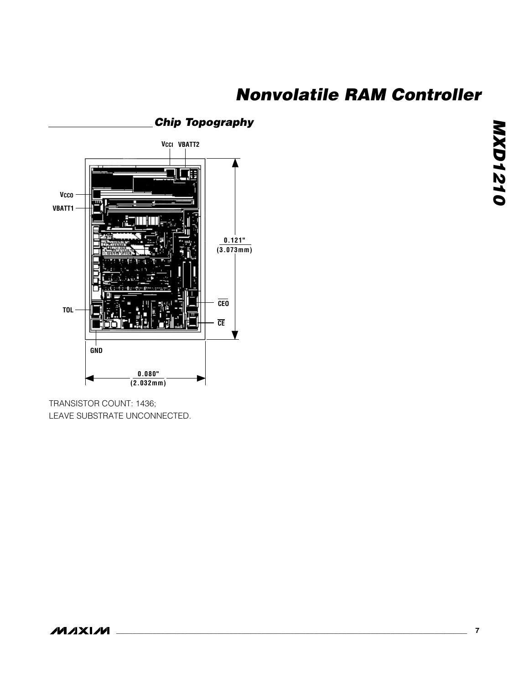### **Chip Topography**



TRANSISTOR COUNT: 1436; LEAVE SUBSTRATE UNCONNECTED.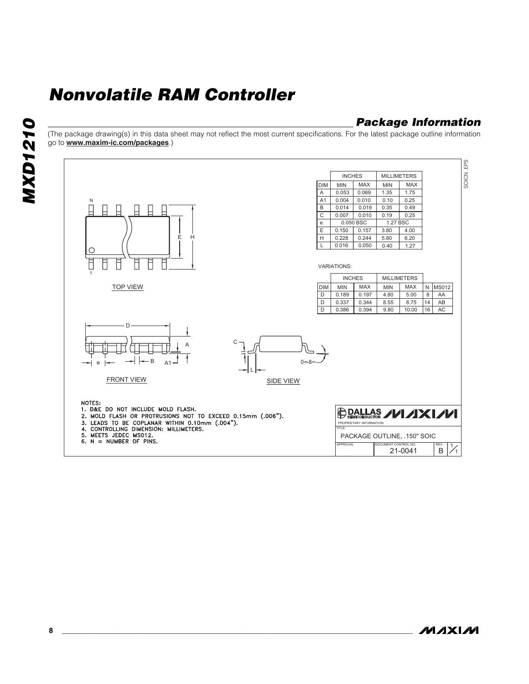### **Package Information**

(The package drawing(s) in this data sheet may not reflect the most current specifications. For the latest package outline information go to **www.maxim-ic.com/packages**.)



**MAXIM**